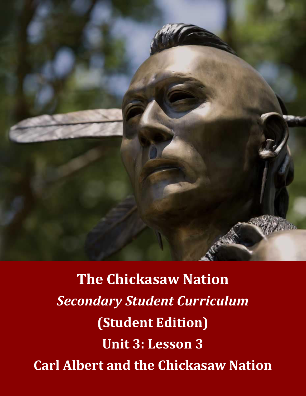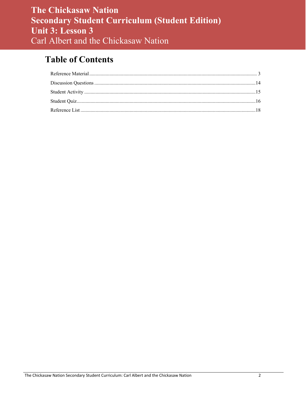# **Table of Contents**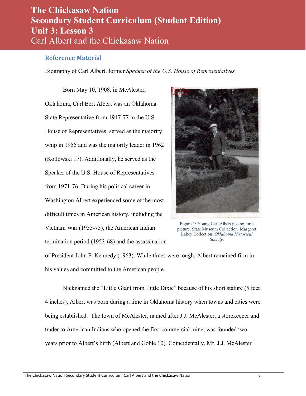#### <span id="page-2-0"></span>**Reference Material**

#### Biography of Carl Albert, former *Speaker of the U.S. House of Representatives*

Born May 10, 1908, in McAlester, Oklahoma, Carl Bert Albert was an Oklahoma State Representative from 1947-77 in the U.S. House of Representatives, served as the majority whip in 1955 and was the majority leader in 1962 (Kotlowski 17). Additionally, he served as the Speaker of the U.S. House of Representatives from 1971-76. During his political career in Washington Albert experienced some of the most difficult times in American history, including the Vietnam War (1955-75), the American Indian termination period (1953-68) and the assassination



Figure 1: Young Carl Albert posing for a picture. State Museum Collection. Margaret Lakey Collection. *Oklahoma Historical Society*.

of President John F. Kennedy (1963). While times were tough, Albert remained firm in his values and committed to the American people.

 Nicknamed the "Little Giant from Little Dixie" because of his short stature (5 feet 4 inches), Albert was born during a time in Oklahoma history when towns and cities were being established. The town of McAlester, named after J.J. McAlester, a storekeeper and trader to American Indians who opened the first commercial mine, was founded two years prior to Albert's birth (Albert and Goble 10). Coincidentally, Mr. J.J. McAlester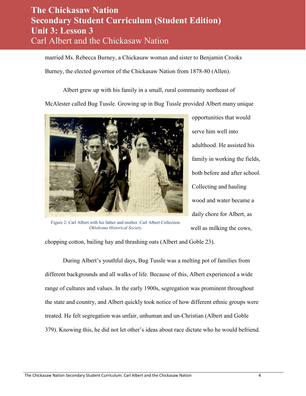married Ms. Rebecca Burney, a Chickasaw woman and sister to Benjamin Crooks

Burney, the elected governor of the Chickasaw Nation from 1878-80 (Allen).

Albert grew up with his family in a small, rural community northeast of

McAlester called Bug Tussle. Growing up in Bug Tussle provided Albert many unique



Figure 2: Carl Albert with his father and mother. Carl Albert Collection. *Oklahoma Historical Society*.

opportunities that would serve him well into adulthood. He assisted his family in working the fields, both before and after school. Collecting and hauling wood and water became a daily chore for Albert, as well as milking the cows,

chopping cotton, bailing hay and thrashing oats (Albert and Goble 23).

 During Albert's youthful days, Bug Tussle was a melting pot of families from different backgrounds and all walks of life. Because of this, Albert experienced a wide range of cultures and values. In the early 1900s, segregation was prominent throughout the state and country, and Albert quickly took notice of how different ethnic groups were treated. He felt segregation was unfair, unhuman and un-Christian (Albert and Goble 379). Knowing this, he did not let other's ideas about race dictate who he would befriend.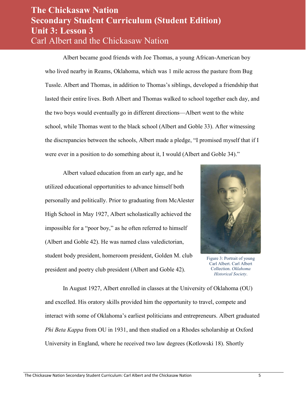Albert became good friends with Joe Thomas, a young African-American boy who lived nearby in Reams, Oklahoma, which was 1 mile across the pasture from Bug Tussle. Albert and Thomas, in addition to Thomas's siblings, developed a friendship that lasted their entire lives. Both Albert and Thomas walked to school together each day, and the two boys would eventually go in different directions—Albert went to the white school, while Thomas went to the black school (Albert and Goble 33). After witnessing the discrepancies between the schools, Albert made a pledge, "I promised myself that if I were ever in a position to do something about it, I would (Albert and Goble 34)."

Albert valued education from an early age, and he utilized educational opportunities to advance himself both personally and politically. Prior to graduating from McAlester High School in May 1927, Albert scholastically achieved the impossible for a "poor boy," as he often referred to himself (Albert and Goble 42). He was named class valedictorian, student body president, homeroom president, Golden M. club president and poetry club president (Albert and Goble 42).



Figure 3: Portrait of young Carl Albert. Carl Albert Collection. *Oklahoma Historical Society*.

In August 1927, Albert enrolled in classes at the University of Oklahoma (OU) and excelled. His oratory skills provided him the opportunity to travel, compete and interact with some of Oklahoma's earliest politicians and entrepreneurs. Albert graduated *Phi Beta Kappa* from OU in 1931, and then studied on a Rhodes scholarship at Oxford University in England, where he received two law degrees (Kotlowski 18). Shortly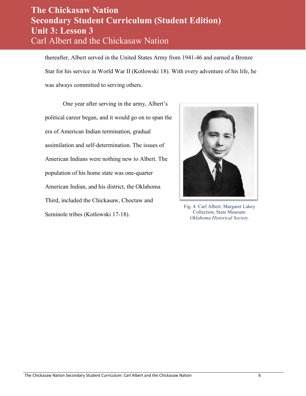thereafter, Albert served in the United States Army from 1941-46 and earned a Bronze Star for his service in World War II (Kotlowski 18). With every adventure of his life, he was always committed to serving others.

One year after serving in the army, Albert's political career began, and it would go on to span the era of American Indian termination, gradual assimilation and self-determination. The issues of American Indians were nothing new to Albert. The population of his home state was one-quarter American Indian, and his district, the Oklahoma Third, included the Chickasaw, Choctaw and Seminole tribes (Kotlowski 17-18).



Fig. 4: Carl Albert. Margaret Lakey Collection, State Museum. *Oklahoma Historical Society.*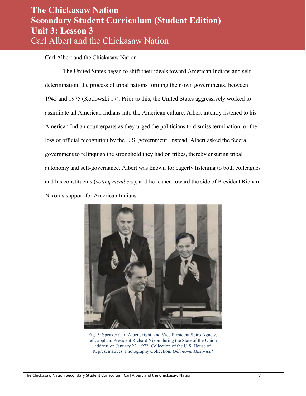#### Carl Albert and the Chickasaw Nation

 The United States began to shift their ideals toward American Indians and selfdetermination, the process of tribal nations forming their own governments, between 1945 and 1975 (Kotlowski 17). Prior to this, the United States aggressively worked to assimilate all American Indians into the American culture. Albert intently listened to his American Indian counterparts as they urged the politicians to dismiss termination, or the loss of official recognition by the U.S. government. Instead, Albert asked the federal government to relinquish the stronghold they had on tribes, thereby ensuring tribal autonomy and self-governance. Albert was known for eagerly listening to both colleagues and his constituents (*voting members*), and he leaned toward the side of President Richard Nixon's support for American Indians.



Fig. 5: Speaker Carl Albert, right, and Vice President Spiro Agnew, left, applaud President Richard Nixon during the State of the Union address on January 22, 1972. Collection of the U.S. House of Representatives, Photography Collection. *Oklahoma Historical*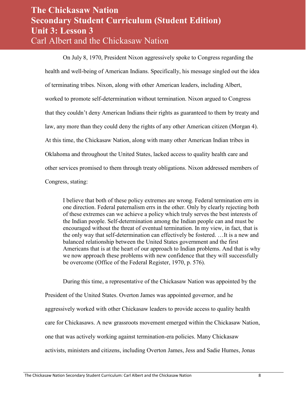On July 8, 1970, President Nixon aggressively spoke to Congress regarding the health and well-being of American Indians. Specifically, his message singled out the idea of terminating tribes. Nixon, along with other American leaders, including Albert, worked to promote self-determination without termination. Nixon argued to Congress that they couldn't deny American Indians their rights as guaranteed to them by treaty and law, any more than they could deny the rights of any other American citizen (Morgan 4). At this time, the Chickasaw Nation, along with many other American Indian tribes in Oklahoma and throughout the United States, lacked access to quality health care and other services promised to them through treaty obligations. Nixon addressed members of Congress, stating:

I believe that both of these policy extremes are wrong. Federal termination errs in one direction. Federal paternalism errs in the other. Only by clearly rejecting both of these extremes can we achieve a policy which truly serves the best interests of the Indian people. Self-determination among the Indian people can and must be encouraged without the threat of eventual termination. In my view, in fact, that is the only way that self-determination can effectively be fostered. …It is a new and balanced relationship between the United States government and the first Americans that is at the heart of our approach to Indian problems. And that is why we now approach these problems with new confidence that they will successfully be overcome (Office of the Federal Register, 1970, p. 576).

During this time, a representative of the Chickasaw Nation was appointed by the President of the United States. Overton James was appointed governor, and he aggressively worked with other Chickasaw leaders to provide access to quality health care for Chickasaws. A new grassroots movement emerged within the Chickasaw Nation, one that was actively working against termination-era policies. Many Chickasaw activists, ministers and citizens, including Overton James, Jess and Sadie Humes, Jonas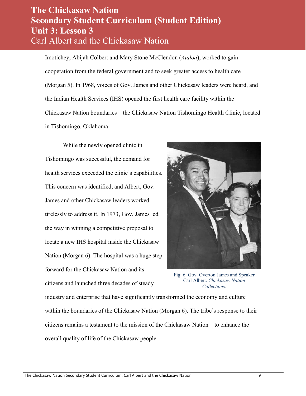Imotichey, Abijah Colbert and Mary Stone McClendon (*Ataloa*), worked to gain cooperation from the federal government and to seek greater access to health care (Morgan 5). In 1968, voices of Gov. James and other Chickasaw leaders were heard, and the Indian Health Services (IHS) opened the first health care facility within the Chickasaw Nation boundaries—the Chickasaw Nation Tishomingo Health Clinic, located in Tishomingo, Oklahoma.

While the newly opened clinic in Tishomingo was successful, the demand for health services exceeded the clinic's capabilities. This concern was identified, and Albert, Gov. James and other Chickasaw leaders worked tirelessly to address it. In 1973, Gov. James led the way in winning a competitive proposal to locate a new IHS hospital inside the Chickasaw Nation (Morgan 6). The hospital was a huge step forward for the Chickasaw Nation and its citizens and launched three decades of steady



Fig. 6: Gov. Overton James and Speaker Carl Albert. *Chickasaw Nation Collections.*

industry and enterprise that have significantly transformed the economy and culture within the boundaries of the Chickasaw Nation (Morgan 6). The tribe's response to their citizens remains a testament to the mission of the Chickasaw Nation—to enhance the overall quality of life of the Chickasaw people.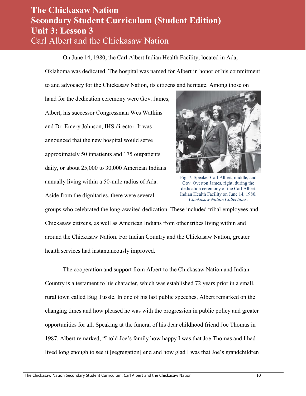On June 14, 1980, the Carl Albert Indian Health Facility, located in Ada,

Oklahoma was dedicated. The hospital was named for Albert in honor of his commitment

to and advocacy for the Chickasaw Nation, its citizens and heritage. Among those on

hand for the dedication ceremony were Gov. James, Albert, his successor Congressman Wes Watkins and Dr. Emery Johnson, IHS director. It was announced that the new hospital would serve approximately 50 inpatients and 175 outpatients daily, or about 25,000 to 30,000 American Indians annually living within a 50-mile radius of Ada. Aside from the dignitaries, there were several



Fig. 7: Speaker Carl Albert, middle, and Gov. Overton James, right, during the dedication ceremony of the Carl Albert Indian Health Facility on June 14, 1980. *Chickasaw Nation Collections*.

groups who celebrated the long-awaited dedication. These included tribal employees and Chickasaw citizens, as well as American Indians from other tribes living within and around the Chickasaw Nation. For Indian Country and the Chickasaw Nation, greater health services had instantaneously improved.

The cooperation and support from Albert to the Chickasaw Nation and Indian Country is a testament to his character, which was established 72 years prior in a small, rural town called Bug Tussle. In one of his last public speeches, Albert remarked on the changing times and how pleased he was with the progression in public policy and greater opportunities for all. Speaking at the funeral of his dear childhood friend Joe Thomas in 1987, Albert remarked, "I told Joe's family how happy I was that Joe Thomas and I had lived long enough to see it [segregation] end and how glad I was that Joe's grandchildren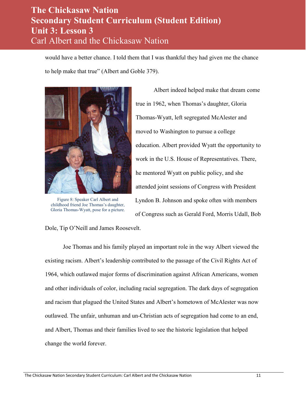would have a better chance. I told them that I was thankful they had given me the chance to help make that true" (Albert and Goble 379).



Figure 8: Speaker Carl Albert and childhood friend Joe Thomas's daughter, Gloria Thomas-Wyatt, pose for a picture.

Dole, Tip O'Neill and James Roosevelt.

Albert indeed helped make that dream come true in 1962, when Thomas's daughter, Gloria Thomas-Wyatt, left segregated McAlester and moved to Washington to pursue a college education. Albert provided Wyatt the opportunity to work in the U.S. House of Representatives. There, he mentored Wyatt on public policy, and she attended joint sessions of Congress with President Lyndon B. Johnson and spoke often with members of Congress such as Gerald Ford, Morris Udall, Bob

Joe Thomas and his family played an important role in the way Albert viewed the existing racism. Albert's leadership contributed to the passage of the Civil Rights Act of 1964, which outlawed major forms of discrimination against African Americans, women and other individuals of color, including racial segregation. The dark days of segregation and racism that plagued the United States and Albert's hometown of McAlester was now outlawed. The unfair, unhuman and un-Christian acts of segregation had come to an end, and Albert, Thomas and their families lived to see the historic legislation that helped change the world forever.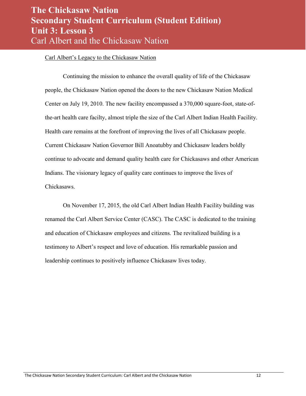#### Carl Albert's Legacy to the Chickasaw Nation

Continuing the mission to enhance the overall quality of life of the Chickasaw people, the Chickasaw Nation opened the doors to the new Chickasaw Nation Medical Center on July 19, 2010. The new facility encompassed a 370,000 square-foot, state-ofthe-art health care facilty, almost triple the size of the Carl Albert Indian Health Facility. Health care remains at the forefront of improving the lives of all Chickasaw people. Current Chickasaw Nation Governor Bill Anoatubby and Chickasaw leaders boldly continue to advocate and demand quality health care for Chickasaws and other American Indians. The visionary legacy of quality care continues to improve the lives of Chickasaws.

On November 17, 2015, the old Carl Albert Indian Health Facility building was renamed the Carl Albert Service Center (CASC). The CASC is dedicated to the training and education of Chickasaw employees and citizens. The revitalized building is a testimony to Albert's respect and love of education. His remarkable passion and leadership continues to positively influence Chickasaw lives today.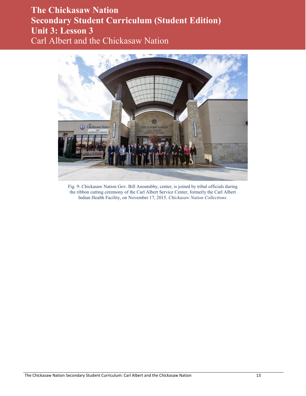

Fig. 9: Chickasaw Nation Gov. Bill Anoatubby, center, is joined by tribal officials during the ribbon cutting ceremony of the Carl Albert Service Center, formerly the Carl Albert Indian Health Facility, on November 17, 2015. *Chickasaw Nation Collections*.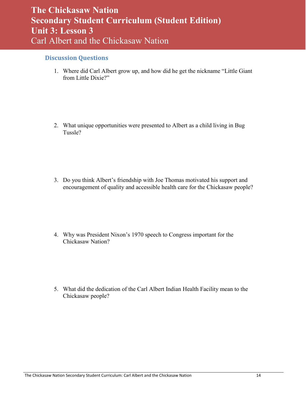#### <span id="page-13-0"></span>**Discussion Questions**

1. Where did Carl Albert grow up, and how did he get the nickname "Little Giant from Little Dixie?"

2. What unique opportunities were presented to Albert as a child living in Bug Tussle?

3. Do you think Albert's friendship with Joe Thomas motivated his support and encouragement of quality and accessible health care for the Chickasaw people?

4. Why was President Nixon's 1970 speech to Congress important for the Chickasaw Nation?

5. What did the dedication of the Carl Albert Indian Health Facility mean to the Chickasaw people?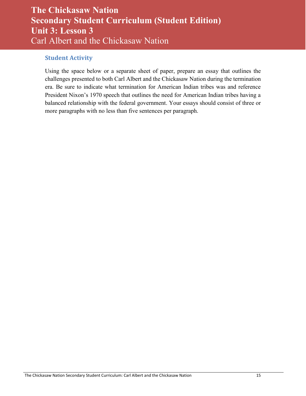#### <span id="page-14-0"></span>**Student Activity**

Using the space below or a separate sheet of paper, prepare an essay that outlines the challenges presented to both Carl Albert and the Chickasaw Nation during the termination era. Be sure to indicate what termination for American Indian tribes was and reference President Nixon's 1970 speech that outlines the need for American Indian tribes having a balanced relationship with the federal government. Your essays should consist of three or more paragraphs with no less than five sentences per paragraph.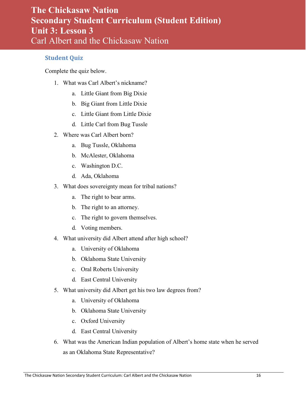#### <span id="page-15-0"></span>**Student Quiz**

Complete the quiz below.

- 1. What was Carl Albert's nickname?
	- a. Little Giant from Big Dixie
	- b. Big Giant from Little Dixie
	- c. Little Giant from Little Dixie
	- d. Little Carl from Bug Tussle
- 2. Where was Carl Albert born?
	- a. Bug Tussle, Oklahoma
	- b. McAlester, Oklahoma
	- c. Washington D.C.
	- d. Ada, Oklahoma
- 3. What does sovereignty mean for tribal nations?
	- a. The right to bear arms.
	- b. The right to an attorney.
	- c. The right to govern themselves.
	- d. Voting members.
- 4. What university did Albert attend after high school?
	- a. University of Oklahoma
	- b. Oklahoma State University
	- c. Oral Roberts University
	- d. East Central University
- 5. What university did Albert get his two law degrees from?
	- a. University of Oklahoma
	- b. Oklahoma State University
	- c. Oxford University
	- d. East Central University
- 6. What was the American Indian population of Albert's home state when he served as an Oklahoma State Representative?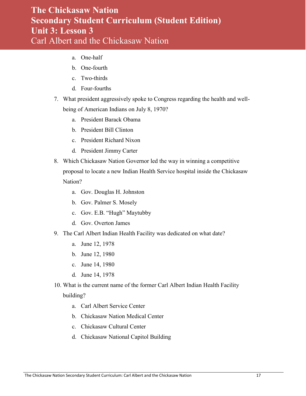- a. One-half
- b. One-fourth
- c. Two-thirds
- d. Four-fourths
- 7. What president aggressively spoke to Congress regarding the health and wellbeing of American Indians on July 8, 1970?
	- a. President Barack Obama
	- b. President Bill Clinton
	- c. President Richard Nixon
	- d. President Jimmy Carter
- 8. Which Chickasaw Nation Governor led the way in winning a competitive proposal to locate a new Indian Health Service hospital inside the Chickasaw Nation?
	- a. Gov. Douglas H. Johnston
	- b. Gov. Palmer S. Mosely
	- c. Gov. E.B. "Hugh" Maytubby
	- d. Gov. Overton James
- 9. The Carl Albert Indian Health Facility was dedicated on what date?
	- a. June 12, 1978
	- b. June 12, 1980
	- c. June 14, 1980
	- d. June 14, 1978
- 10. What is the current name of the former Carl Albert Indian Health Facility building?
	- a. Carl Albert Service Center
	- b. Chickasaw Nation Medical Center
	- c. Chickasaw Cultural Center
	- d. Chickasaw National Capitol Building